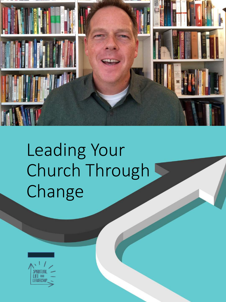

# Leading Your Church Through Change

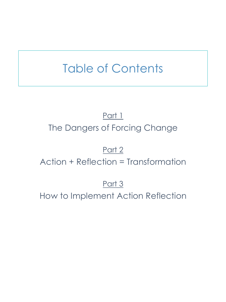# Table of Contents

# Part 1 The Dangers of Forcing Change

### Part 2

Action + Reflection = Transformation

## Part 3

How to Implement Action Reflection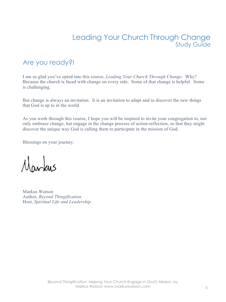#### Leading Your Church Through Change Study Guide

#### Are you ready?!

I am so glad you've opted into this course, *Leading Your Church Through Change*. Why? Because the church is faced with change on every side. Some of that change is helpful. Some is challenging.

But change is always an invitation. It is an invitation to adapt and to discover the new things that God is up to in the world.

As you work through this course, I hope you will be inspired to invite your congregation to, not only embrace change, but engage in the change process of action-reflection, so that they might discover the unique way God is calling them to participate in the mission of God.

Blessings on your journey.

Markus

Markus Watson Author, *Beyond Thingification* Host, *Spiritual Life and Leadership*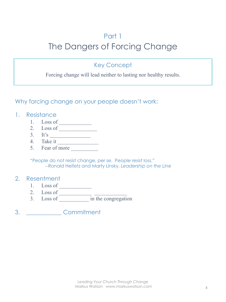### Part 1 The Dangers of Forcing Change

#### Key Concept

Forcing change will lead neither to lasting nor healthy results.

Why forcing change on your people doesn't work:

#### 1. Resistance

- 1. Loss of
- 2. Loss of  $\overline{\phantom{a}}$
- 3. It's \_\_\_\_\_\_\_\_\_\_\_\_\_\_\_
- 4. Take it  $\overline{\phantom{a}}$
- 5. Fear of more

"People do not resist change, per se. People resist loss." --Ronald Heifetz and Marty Linsky, *Leadership on the Line*

#### 2. Resentment

- 1. Loss of \_\_\_\_\_\_\_\_\_\_\_\_
- 2. Loss of
- 3. Loss of \_\_\_\_\_\_\_\_\_\_\_ in the congregation

3. \_\_\_\_\_\_\_\_\_\_\_\_ Commitment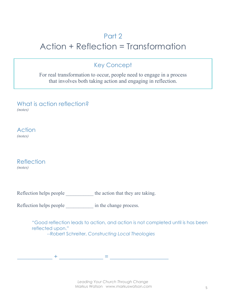### Part 2 Action + Reflection = Transformation

#### Key Concept

For real transformation to occur, people need to engage in a process that involves both taking action and engaging in reflection.

What is action reflection? *(notes)*

**Action** *(notes)*

Reflection *(notes)*

Reflection helps people  $\qquad \qquad$  in the change process.

"Good reflection leads to action, and action is not completed until is has been reflected upon." --Robert Schreiter, *Constructing Local Theologies*

 $\pm$  . The contribution of the contribution of the contribution of the contribution of the contribution of the contribution of the contribution of the contribution of the contribution of the contribution of the contributi

*Leading Your Church Through Change* Markus Watson www.markuswatson.com 5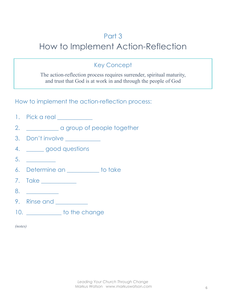### Part 3

# How to Implement Action-Reflection

#### Key Concept

The action-reflection process requires surrender, spiritual maturity, and trust that God is at work in and through the people of God

How to implement the action-reflection process:

- 1. Pick a real
- 2. **\_\_\_\_\_\_\_\_\_\_** a group of people together
- 3. Don't involve
- 4. \_\_\_\_\_\_ good questions
- $5.$
- 6. Determine an \_\_\_\_\_\_\_\_\_\_\_ to take
- 7. Take \_\_\_\_\_\_\_\_\_\_\_\_
- 8. \_\_\_\_\_\_\_\_\_\_\_
- 9. Rinse and \_\_\_\_\_\_\_\_\_\_\_
- 10. **to the change**

| ı<br>,, |
|---------|
|         |